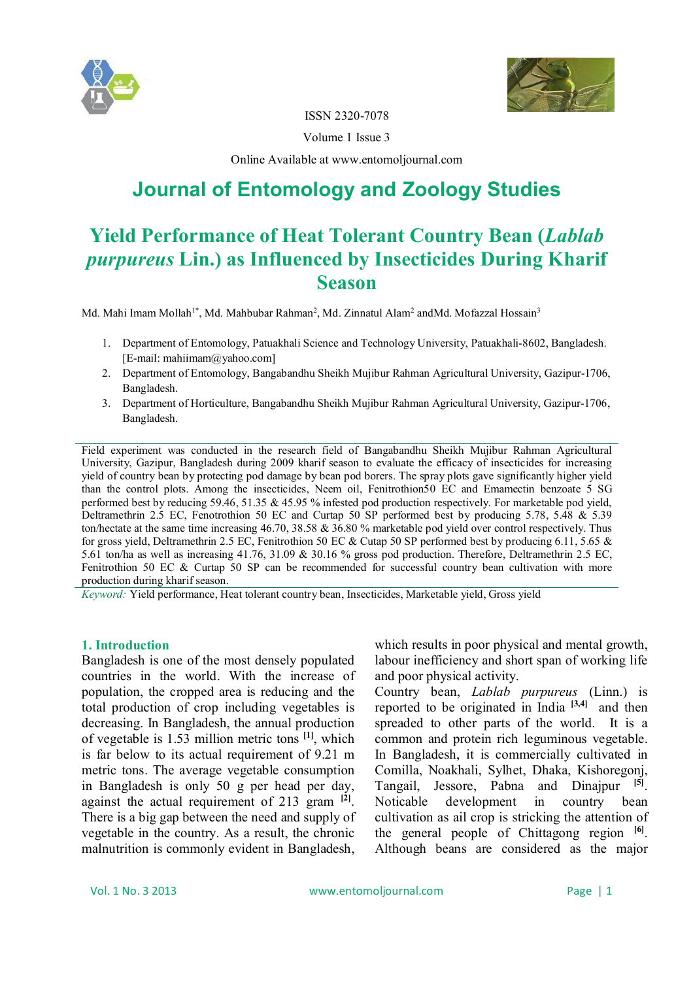



ISSN 2320-7078

Volume 1 Issue 3

Online Available at www.entomoljournal.com

# **Journal of Entomology and Zoology Studies**

# **Yield Performance of Heat Tolerant Country Bean (***Lablab purpureus* **Lin.) as Influenced by Insecticides During Kharif Season**

Md. Mahi Imam Mollah<sup>1\*</sup>, Md. Mahbubar Rahman<sup>2</sup>, Md. Zinnatul Alam<sup>2</sup> andMd. Mofazzal Hossain<sup>3</sup>

- 1. Department of Entomology, Patuakhali Science and Technology University, Patuakhali-8602, Bangladesh. [E-mail: mahiimam@yahoo.com]
- 2. Department of Entomology, Bangabandhu Sheikh Mujibur Rahman Agricultural University, Gazipur-1706, Bangladesh.
- 3. Department of Horticulture, Bangabandhu Sheikh Mujibur Rahman Agricultural University, Gazipur-1706, Bangladesh.

Field experiment was conducted in the research field of Bangabandhu Sheikh Mujibur Rahman Agricultural University, Gazipur, Bangladesh during 2009 kharif season to evaluate the efficacy of insecticides for increasing yield of country bean by protecting pod damage by bean pod borers. The spray plots gave significantly higher yield than the control plots. Among the insecticides, Neem oil, Fenitrothion50 EC and Emamectin benzoate 5 SG performed best by reducing 59.46, 51.35 & 45.95 % infested pod production respectively. For marketable pod yield, Deltramethrin 2.5 EC, Fenotrothion 50 EC and Curtap 50 SP performed best by producing 5.78, 5.48 & 5.39 ton/hectate at the same time increasing 46.70, 38.58 & 36.80 % marketable pod yield over control respectively. Thus for gross yield, Deltramethrin 2.5 EC, Fenitrothion 50 EC & Cutap 50 SP performed best by producing 6.11, 5.65 & 5.61 ton/ha as well as increasing 41.76, 31.09 & 30.16 % gross pod production. Therefore, Deltramethrin 2.5 EC, Fenitrothion 50 EC & Curtap 50 SP can be recommended for successful country bean cultivation with more production during kharif season.

*Keyword:* Yield performance, Heat tolerant country bean, Insecticides, Marketable yield, Gross yield

## **1. Introduction**

Bangladesh is one of the most densely populated countries in the world. With the increase of population, the cropped area is reducing and the total production of crop including vegetables is decreasing. In Bangladesh, the annual production of vegetable is 1.53 million metric tons **[1]** , which is far below to its actual requirement of 9.21 m metric tons. The average vegetable consumption in Bangladesh is only 50 g per head per day, against the actual requirement of 213 gram **[2]** . There is a big gap between the need and supply of vegetable in the country. As a result, the chronic malnutrition is commonly evident in Bangladesh,

which results in poor physical and mental growth. labour inefficiency and short span of working life and poor physical activity.

Country bean, *Lablab purpureus* (Linn.) is reported to be originated in India **[3,4]** and then spreaded to other parts of the world. It is a common and protein rich leguminous vegetable. In Bangladesh, it is commercially cultivated in Comilla, Noakhali, Sylhet, Dhaka, Kishoregonj, Tangail, Jessore, Pabna and Dinajpur **[5]** . Noticable development in country bean cultivation as ail crop is stricking the attention of the general people of Chittagong region **[6]** . Although beans are considered as the major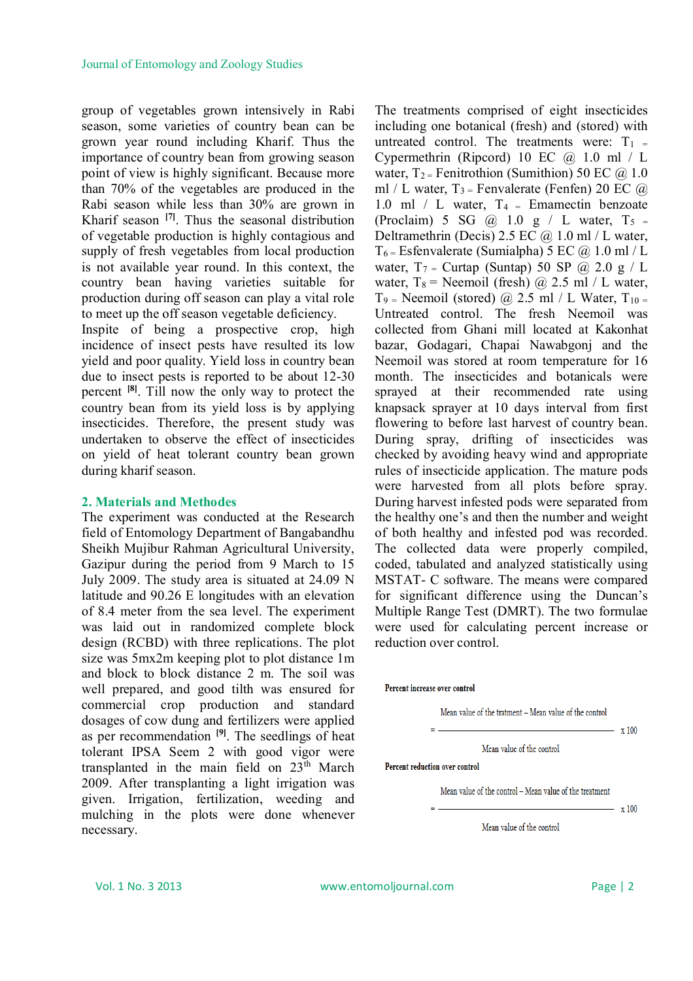group of vegetables grown intensively in Rabi season, some varieties of country bean can be grown year round including Kharif. Thus the importance of country bean from growing season point of view is highly significant. Because more than 70% of the vegetables are produced in the Rabi season while less than 30% are grown in Kharif season **[7]** . Thus the seasonal distribution of vegetable production is highly contagious and supply of fresh vegetables from local production is not available year round. In this context, the country bean having varieties suitable for production during off season can play a vital role to meet up the off season vegetable deficiency. Inspite of being a prospective crop, high incidence of insect pests have resulted its low yield and poor quality. Yield loss in country bean due to insect pests is reported to be about 12-30 percent **[8]** . Till now the only way to protect the country bean from its yield loss is by applying insecticides. Therefore, the present study was undertaken to observe the effect of insecticides on yield of heat tolerant country bean grown during kharif season.

#### **2. Materials and Methodes**

The experiment was conducted at the Research field of Entomology Department of Bangabandhu Sheikh Mujibur Rahman Agricultural University, Gazipur during the period from 9 March to 15 July 2009. The study area is situated at 24.09 N latitude and 90.26 E longitudes with an elevation of 8.4 meter from the sea level. The experiment was laid out in randomized complete block design (RCBD) with three replications. The plot size was 5mx2m keeping plot to plot distance 1m and block to block distance 2 m. The soil was well prepared, and good tilth was ensured for commercial crop production and standard dosages of cow dung and fertilizers were applied as per recommendation **[9]** . The seedlings of heat tolerant IPSA Seem 2 with good vigor were transplanted in the main field on  $23<sup>th</sup>$  March 2009. After transplanting a light irrigation was given. Irrigation, fertilization, weeding and mulching in the plots were done whenever necessary.

The treatments comprised of eight insecticides including one botanical (fresh) and (stored) with untreated control. The treatments were:  $T_1$  = Cypermethrin (Ripcord) 10 EC @ 1.0 ml / L water,  $T_2$  = Fenitrothion (Sumithion) 50 EC  $\omega$  1.0 ml / L water,  $T_3$  = Fenvalerate (Fenfen) 20 EC  $\omega$ 1.0 ml / L water,  $T_4$  = Emamectin benzoate (Proclaim) 5 SG  $\omega$  1.0 g / L water, T<sub>5</sub> = Deltramethrin (Decis)  $2.5$  EC  $\omega$  1.0 ml / L water,  $T_6$  = Esfenvalerate (Sumialpha) 5 EC  $\omega$  1.0 ml / L water,  $T_7$  = Curtap (Suntap) 50 SP @ 2.0 g / L water,  $T_8$  = Neemoil (fresh)  $\omega$  2.5 ml / L water,  $T_9$  = Neemoil (stored)  $\omega$  2.5 ml / L Water,  $T_{10}$  = Untreated control. The fresh Neemoil was collected from Ghani mill located at Kakonhat bazar, Godagari, Chapai Nawabgonj and the Neemoil was stored at room temperature for 16 month. The insecticides and botanicals were sprayed at their recommended rate using knapsack sprayer at 10 days interval from first flowering to before last harvest of country bean. During spray, drifting of insecticides was checked by avoiding heavy wind and appropriate rules of insecticide application. The mature pods were harvested from all plots before spray. During harvest infested pods were separated from the healthy one's and then the number and weight of both healthy and infested pod was recorded. The collected data were properly compiled, coded, tabulated and analyzed statistically using MSTAT- C software. The means were compared for significant difference using the Duncan's Multiple Range Test (DMRT). The two formulae were used for calculating percent increase or reduction over control.

#### Percent increase over control

Mean value of the tratment - Mean value of the control

 $- x 100$ 

Mean value of the control

#### **Percent reduction over control**

Mean value of the control - Mean value of the treatment

 $- x 100$ 

Mean value of the control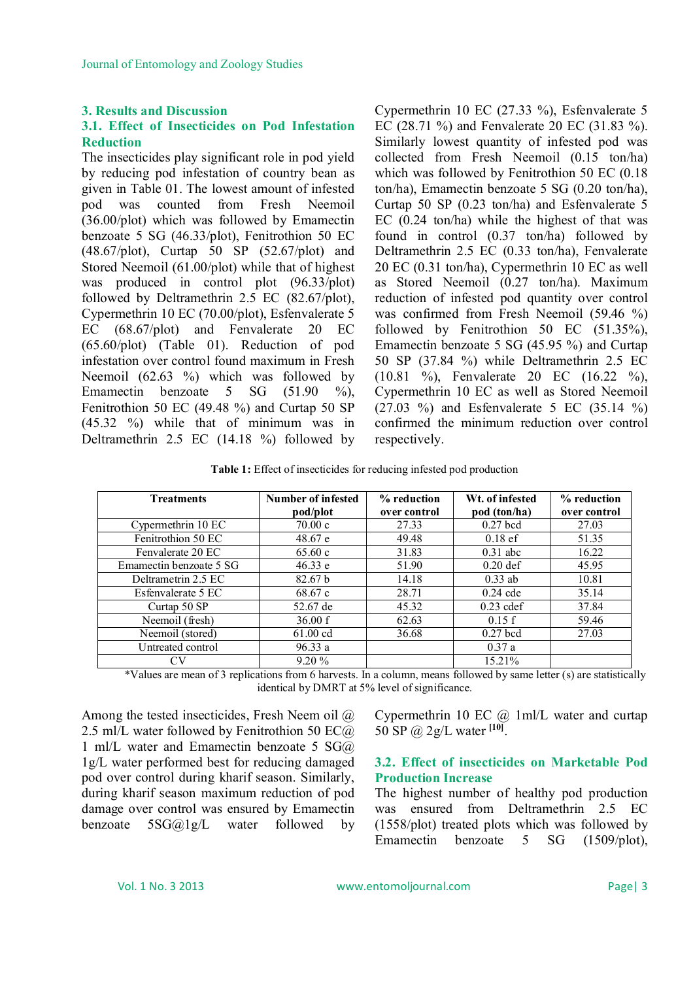## **3. Results and Discussion**

# **3.1. Effect of Insecticides on Pod Infestation Reduction**

The insecticides play significant role in pod yield by reducing pod infestation of country bean as given in Table 01. The lowest amount of infested pod was counted from Fresh Neemoil (36.00/plot) which was followed by Emamectin benzoate 5 SG (46.33/plot), Fenitrothion 50 EC (48.67/plot), Curtap 50 SP (52.67/plot) and Stored Neemoil (61.00/plot) while that of highest was produced in control plot (96.33/plot) followed by Deltramethrin 2.5 EC (82.67/plot), Cypermethrin 10 EC (70.00/plot), Esfenvalerate 5 EC (68.67/plot) and Fenvalerate 20 EC (65.60/plot) (Table 01). Reduction of pod infestation over control found maximum in Fresh Neemoil (62.63 %) which was followed by Emamectin benzoate 5 SG (51.90 %), Fenitrothion 50 EC (49.48 %) and Curtap 50 SP (45.32 %) while that of minimum was in Deltramethrin 2.5 EC (14.18 %) followed by

Cypermethrin 10 EC (27.33 %), Esfenvalerate 5 EC (28.71 %) and Fenvalerate 20 EC (31.83 %). Similarly lowest quantity of infested pod was collected from Fresh Neemoil (0.15 ton/ha) which was followed by Fenitrothion 50 EC (0.18 ton/ha), Emamectin benzoate 5 SG (0.20 ton/ha), Curtap 50 SP (0.23 ton/ha) and Esfenvalerate 5 EC (0.24 ton/ha) while the highest of that was found in control (0.37 ton/ha) followed by Deltramethrin 2.5 EC (0.33 ton/ha), Fenvalerate 20 EC (0.31 ton/ha), Cypermethrin 10 EC as well as Stored Neemoil (0.27 ton/ha). Maximum reduction of infested pod quantity over control was confirmed from Fresh Neemoil (59.46 %) followed by Fenitrothion 50 EC (51.35%), Emamectin benzoate 5 SG (45.95 %) and Curtap 50 SP (37.84 %) while Deltramethrin 2.5 EC (10.81 %), Fenvalerate 20 EC (16.22 %), Cypermethrin 10 EC as well as Stored Neemoil (27.03 %) and Esfenvalerate 5 EC (35.14 %) confirmed the minimum reduction over control respectively.

**Table 1:** Effect of insecticides for reducing infested pod production

| <b>Treatments</b>       | <b>Number of infested</b> | % reduction  | Wt. of infested | % reduction  |
|-------------------------|---------------------------|--------------|-----------------|--------------|
|                         | pod/plot                  | over control | pod (ton/ha)    | over control |
| Cypermethrin 10 EC      | 70.00 c                   | 27.33        | $0.27$ bcd      | 27.03        |
| Fenitrothion 50 EC      | 48.67 e                   | 49.48        | $0.18$ ef       | 51.35        |
| Fenvalerate 20 EC       | 65.60c                    | 31.83        | $0.31$ abc      | 16.22        |
| Emamectin benzoate 5 SG | 46.33 e                   | 51.90        | $0.20$ def      | 45.95        |
| Deltrametrin 2.5 EC     | 82.67 <sub>b</sub>        | 14.18        | $0.33$ ab       | 10.81        |
| Esfenvalerate 5 EC      | 68.67 c                   | 28.71        | $0.24$ cde      | 35.14        |
| Curtap 50 SP            | 52.67 de                  | 45.32        | $0.23$ cdef     | 37.84        |
| Neemoil (fresh)         | 36.00 f                   | 62.63        | 0.15 f          | 59.46        |
| Neemoil (stored)        | 61.00 cd                  | 36.68        | $0.27$ bcd      | 27.03        |
| Untreated control       | 96.33a                    |              | 0.37a           |              |
|                         | 9.20%                     |              | 15.21%          |              |

\*Values are mean of 3 replications from 6 harvests. In a column, means followed by same letter (s) are statistically identical by DMRT at 5% level of significance.

Among the tested insecticides, Fresh Neem oil @ 2.5 ml/L water followed by Fenitrothion 50 EC@ 1 ml/L water and Emamectin benzoate 5 SG@ 1g/L water performed best for reducing damaged pod over control during kharif season. Similarly, during kharif season maximum reduction of pod damage over control was ensured by Emamectin benzoate 5SG@1g/L water followed by

Cypermethrin 10 EC @ 1ml/L water and curtap 50 SP @ 2g/L water **[10]** .

## **3.2. Effect of insecticides on Marketable Pod Production Increase**

The highest number of healthy pod production was ensured from Deltramethrin 2.5 EC (1558/plot) treated plots which was followed by Emamectin benzoate 5 SG (1509/plot),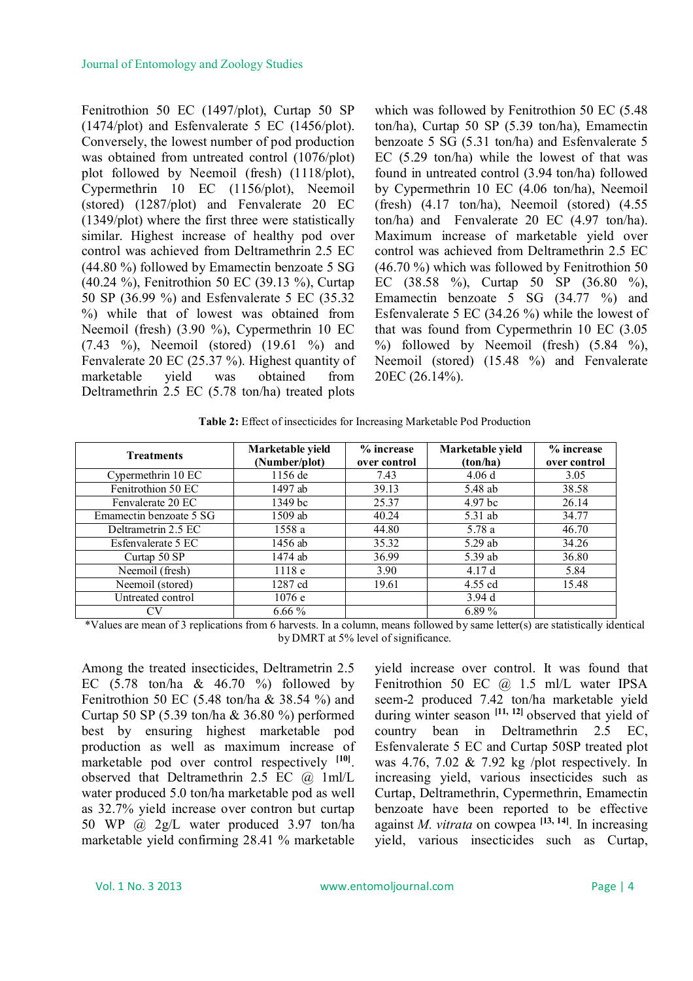Fenitrothion 50 EC (1497/plot), Curtap 50 SP (1474/plot) and Esfenvalerate 5 EC (1456/plot). Conversely, the lowest number of pod production was obtained from untreated control (1076/plot) plot followed by Neemoil (fresh) (1118/plot), Cypermethrin 10 EC (1156/plot), Neemoil (stored) (1287/plot) and Fenvalerate 20 EC (1349/plot) where the first three were statistically similar. Highest increase of healthy pod over control was achieved from Deltramethrin 2.5 EC (44.80 %) followed by Emamectin benzoate 5 SG (40.24 %), Fenitrothion 50 EC (39.13 %), Curtap 50 SP (36.99 %) and Esfenvalerate 5 EC (35.32 %) while that of lowest was obtained from Neemoil (fresh) (3.90 %), Cypermethrin 10 EC (7.43 %), Neemoil (stored) (19.61 %) and Fenvalerate 20 EC (25.37 %). Highest quantity of marketable yield was obtained from Deltramethrin 2.5 EC (5.78 ton/ha) treated plots

which was followed by Fenitrothion 50 EC (5.48 ton/ha), Curtap 50 SP (5.39 ton/ha), Emamectin benzoate 5 SG (5.31 ton/ha) and Esfenvalerate 5 EC (5.29 ton/ha) while the lowest of that was found in untreated control (3.94 ton/ha) followed by Cypermethrin 10 EC (4.06 ton/ha), Neemoil (fresh) (4.17 ton/ha), Neemoil (stored) (4.55 ton/ha) and Fenvalerate 20 EC (4.97 ton/ha). Maximum increase of marketable yield over control was achieved from Deltramethrin 2.5 EC (46.70 %) which was followed by Fenitrothion 50 EC (38.58 %), Curtap 50 SP (36.80 %), Emamectin benzoate 5 SG (34.77 %) and Esfenvalerate 5 EC (34.26 %) while the lowest of that was found from Cypermethrin 10 EC (3.05  $\%$ ) followed by Neemoil (fresh) (5.84 %), Neemoil (stored) (15.48 %) and Fenvalerate 20EC (26.14%).

|  |  | Table 2: Effect of insecticides for Increasing Marketable Pod Production |
|--|--|--------------------------------------------------------------------------|
|  |  |                                                                          |

| <b>Treatments</b>       | Marketable yield<br>(Number/plot) | % increase<br>over control | Marketable yield<br>(ton/ha) | $%$ increase<br>over control |
|-------------------------|-----------------------------------|----------------------------|------------------------------|------------------------------|
| Cypermethrin 10 EC      | 1156 de                           | 7.43                       | 4.06d                        | 3.05                         |
| Fenitrothion 50 EC      | 1497 ab                           | 39.13                      | 5.48 ab                      | 38.58                        |
| Fenvalerate 20 EC       | 1349 <sub>bc</sub>                | 25.37                      | 4.97 bc                      | 26.14                        |
| Emamectin benzoate 5 SG | 1509 ab                           | 40.24                      | 5.31 ab                      | 34.77                        |
| Deltrametrin 2.5 EC     | 1558 a                            | 44.80                      | 5.78 a                       | 46.70                        |
| Esfenvalerate 5 EC      | 1456 ab                           | 35.32                      | 5.29 ab                      | 34.26                        |
| Curtap 50 SP            | 1474 ab                           | 36.99                      | 5.39 ab                      | 36.80                        |
| Neemoil (fresh)         | 1118e                             | 3.90                       | 4.17d                        | 5.84                         |
| Neemoil (stored)        | 1287 cd                           | 19.61                      | 4.55 cd                      | 15.48                        |
| Untreated control       | 1076e                             |                            | 3.94d                        |                              |
|                         | $6.66\%$                          |                            | 6.89 $%$                     |                              |

\*Values are mean of 3 replications from 6 harvests. In a column, means followed by same letter(s) are statistically identical by DMRT at 5% level of significance.

Among the treated insecticides, Deltrametrin 2.5 EC  $(5.78 \text{ ton/ha} \& 46.70 \%$  followed by Fenitrothion 50 EC (5.48 ton/ha  $& 38.54 \%$ ) and Curtap 50 SP (5.39 ton/ha & 36.80 %) performed best by ensuring highest marketable pod production as well as maximum increase of marketable pod over control respectively **[10]** . observed that Deltramethrin 2.5 EC @ 1ml/L water produced 5.0 ton/ha marketable pod as well as 32.7% yield increase over contron but curtap 50 WP @ 2g/L water produced 3.97 ton/ha marketable yield confirming 28.41 % marketable

yield increase over control. It was found that Fenitrothion 50 EC @ 1.5 ml/L water IPSA seem-2 produced 7.42 ton/ha marketable yield during winter season **[11, 12]** observed that yield of country bean in Deltramethrin 2.5 EC, Esfenvalerate 5 EC and Curtap 50SP treated plot was 4.76, 7.02 & 7.92 kg /plot respectively. In increasing yield, various insecticides such as Curtap, Deltramethrin, Cypermethrin, Emamectin benzoate have been reported to be effective against *M. vitrata* on cowpea **[13, 14]** . In increasing yield, various insecticides such as Curtap,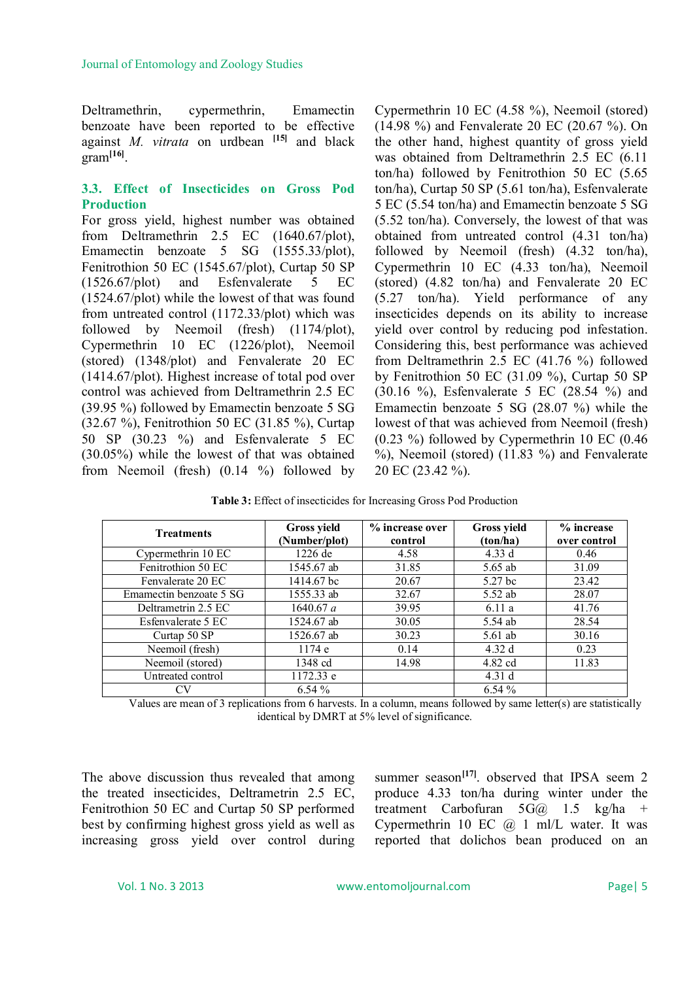Deltramethrin, cypermethrin, Emamectin benzoate have been reported to be effective against *M. vitrata* on urdbean **[15]** and black gram**[16]** .

# **3.3. Effect of Insecticides on Gross Pod Production**

For gross yield, highest number was obtained from Deltramethrin 2.5 EC (1640.67/plot), Emamectin benzoate 5 SG (1555.33/plot), Fenitrothion 50 EC (1545.67/plot), Curtap 50 SP (1526.67/plot) and Esfenvalerate 5 EC (1524.67/plot) while the lowest of that was found from untreated control (1172.33/plot) which was followed by Neemoil (fresh) (1174/plot), Cypermethrin 10 EC (1226/plot), Neemoil (stored) (1348/plot) and Fenvalerate 20 EC (1414.67/plot). Highest increase of total pod over control was achieved from Deltramethrin 2.5 EC (39.95 %) followed by Emamectin benzoate 5 SG (32.67 %), Fenitrothion 50 EC (31.85 %), Curtap 50 SP (30.23 %) and Esfenvalerate 5 EC (30.05%) while the lowest of that was obtained from Neemoil (fresh) (0.14 %) followed by

Cypermethrin 10 EC (4.58 %), Neemoil (stored) (14.98 %) and Fenvalerate 20 EC (20.67 %). On the other hand, highest quantity of gross yield was obtained from Deltramethrin 2.5 EC (6.11 ton/ha) followed by Fenitrothion 50 EC (5.65 ton/ha), Curtap 50 SP (5.61 ton/ha), Esfenvalerate 5 EC (5.54 ton/ha) and Emamectin benzoate 5 SG (5.52 ton/ha). Conversely, the lowest of that was obtained from untreated control (4.31 ton/ha) followed by Neemoil (fresh) (4.32 ton/ha), Cypermethrin 10 EC (4.33 ton/ha), Neemoil (stored) (4.82 ton/ha) and Fenvalerate 20 EC (5.27 ton/ha). Yield performance of any insecticides depends on its ability to increase yield over control by reducing pod infestation. Considering this, best performance was achieved from Deltramethrin 2.5 EC (41.76 %) followed by Fenitrothion 50 EC (31.09 %), Curtap 50 SP (30.16 %), Esfenvalerate 5 EC (28.54 %) and Emamectin benzoate 5 SG (28.07 %) while the lowest of that was achieved from Neemoil (fresh) (0.23 %) followed by Cypermethrin 10 EC (0.46 %), Neemoil (stored) (11.83 %) and Fenvalerate 20 EC (23.42 %).

**Table 3:** Effect of insecticides for Increasing Gross Pod Production

| <b>Treatments</b>       | <b>Gross yield</b><br>(Number/plot) | % increase over<br>control | Gross yield<br>(ton/ha) | % increase<br>over control |
|-------------------------|-------------------------------------|----------------------------|-------------------------|----------------------------|
| Cypermethrin 10 EC      | $1226$ de                           | 4.58                       | 4.33 d                  | 0.46                       |
| Fenitrothion 50 EC      | 1545.67 ab                          | 31.85                      | 5.65 ab                 | 31.09                      |
| Fenvalerate 20 EC       | 1414.67 bc                          | 20.67                      | 5.27 bc                 | 23.42                      |
| Emamectin benzoate 5 SG | 1555.33 ab                          | 32.67                      | $5.52$ ab               | 28.07                      |
| Deltrametrin 2.5 EC     | 1640.67 a                           | 39.95                      | 6.11a                   | 41.76                      |
| Esfenvalerate 5 EC      | 1524.67 ab                          | 30.05                      | 5.54 ab                 | 28.54                      |
| Curtap 50 SP            | 1526.67 ab                          | 30.23                      | $5.61$ ab               | 30.16                      |
| Neemoil (fresh)         | 1174 e                              | 0.14                       | 4.32d                   | 0.23                       |
| Neemoil (stored)        | 1348 cd                             | 14.98                      | 4.82 cd                 | 11.83                      |
| Untreated control       | 1172.33 e                           |                            | 4.31d                   |                            |
|                         | $6.54\%$                            |                            | 6.54%                   |                            |

Values are mean of 3 replications from 6 harvests. In a column, means followed by same letter(s) are statistically identical by DMRT at 5% level of significance.

The above discussion thus revealed that among the treated insecticides, Deltrametrin 2.5 EC, Fenitrothion 50 EC and Curtap 50 SP performed best by confirming highest gross yield as well as increasing gross yield over control during

summer season<sup>[17]</sup>. observed that IPSA seem 2 produce 4.33 ton/ha during winter under the treatment Carbofuran  $5G(a)$  1.5 kg/ha + Cypermethrin 10 EC @ 1 ml/L water. It was reported that dolichos bean produced on an